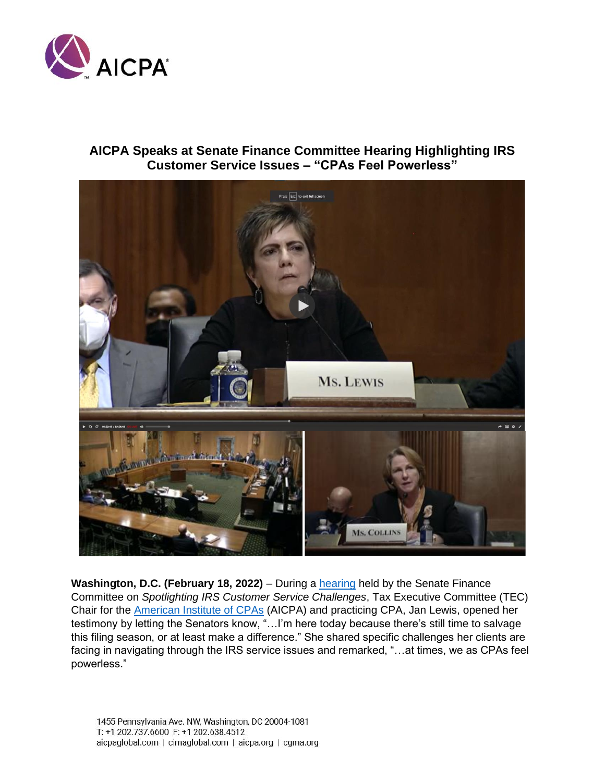

## **AICPA Speaks at Senate Finance Committee Hearing Highlighting IRS Customer Service Issues – "CPAs Feel Powerless"**



**Washington, D.C. (February 18, 2022)** – During a **hearing held by the Senate Finance** Committee on *Spotlighting IRS Customer Service Challenges*, Tax Executive Committee (TEC) Chair for the [American Institute of CPAs](file:///C:/Users/ekarl/AppData/Local/Microsoft/Windows/INetCache/Content.Outlook/3UVM4OM1/aicpa.org) (AICPA) and practicing CPA, Jan Lewis, opened her testimony by letting the Senators know, "…I'm here today because there's still time to salvage this filing season, or at least make a difference." She shared specific challenges her clients are facing in navigating through the IRS service issues and remarked, "...at times, we as CPAs feel powerless."